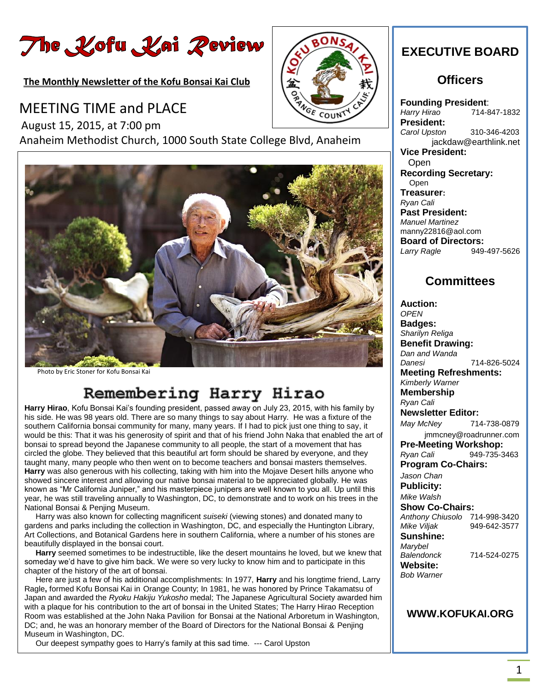# The Kofu Kai Peview

**The Monthly Newsletter of the Kofu Bonsai Kai Club** 

# MEETING TIME and PLACE

 August 15, 2015, at 7:00 pm Anaheim Methodist Church, 1000 South State College Blvd, Anaheim



Photo by Eric Stoner for Kofu Bonsai Kai

# Remembering Harry Hirao

**Harry Hirao**, Kofu Bonsai Kai's founding president, passed away on July 23, 2015, with his family by his side. He was 98 years old. There are so many things to say about Harry. He was a fixture of the southern California bonsai community for many, many years. If I had to pick just one thing to say, it would be this: That it was his generosity of spirit and that of his friend John Naka that enabled the art of bonsai to spread beyond the Japanese community to all people, the start of a movement that has circled the globe. They believed that this beautiful art form should be shared by everyone, and they taught many, many people who then went on to become teachers and bonsai masters themselves. **Harry** was also generous with his collecting, taking with him into the Mojave Desert hills anyone who showed sincere interest and allowing our native bonsai material to be appreciated globally. He was known as "Mr California Juniper," and his masterpiece junipers are well known to you all. Up until this year, he was still traveling annually to Washington, DC, to demonstrate and to work on his trees in the National Bonsai & Penjing Museum.

Harry was also known for collecting magnificent *suiseki* (viewing stones) and donated many to gardens and parks including the collection in Washington, DC, and especially the Huntington Library, Art Collections, and Botanical Gardens here in southern California, where a number of his stones are beautifully displayed in the bonsai court.

 **Harry** seemed sometimes to be indestructible, like the desert mountains he loved, but we knew that someday we'd have to give him back. We were so very lucky to know him and to participate in this chapter of the history of the art of bonsai.

 Here are just a few of his additional accomplishments: In 1977, **Harry** and his longtime friend, Larry Ragle**,** formed Kofu Bonsai Kai in Orange County; In 1981, he was honored by Prince Takamatsu of Japan and awarded the *Ryoku Hakiju Yukosho* medal; The Japanese Agricultural Society awarded him with a plaque for his contribution to the art of bonsai in the United States; The Harry Hirao Reception Room was established at the John Naka Pavilion for Bonsai at the National Arboretum in Washington, DC; and, he was an honorary member of the Board of Directors for the National Bonsai & Penjing Museum in Washington, DC.

Our deepest sympathy goes to Harry's family at this sad time. --- Carol Upston



# **EXECUTIVE BOARD**

### **Officers**

**Founding President**: *Harry Hirao* 714-847-1832 **President:** *Carol Upston* 310-346-4203 jackdaw@earthlink.net **Vice President:** Open **Recording Secretary:** Open **Treasurer:** *Ryan Cali* **Past President:** *Manuel Martinez* manny22816@aol.com **Board of Directors:** *Larry Ragle* 949-497-5626

# **Committees**

**Auction:** *OPEN* **Badges:** *Sharilyn Religa* **Benefit Drawing:** *Dan and Wanda Danesi* 714-826-5024 **Meeting Refreshments:** *Kimberly Warner*  **Membership** *Ryan Cali*  **Newsletter Editor:** *May McNey* 714-738-0879 jmmcney@roadrunner.com **Pre-Meeting Workshop:** *Ryan Cali* 949-735-3463 **Program Co-Chairs:** *Jason Chan* **Publicity:** *Mike Walsh*  **Show Co-Chairs:** *Anthony Chiusolo* 714-998-3420 *Mike Viljak* 949-642-3577 **Sunshine:** *Marybel Balendonck* 714-524-0275 **Website:** *Bob Warner* 

#### **WWW.KOFUKAI.ORG**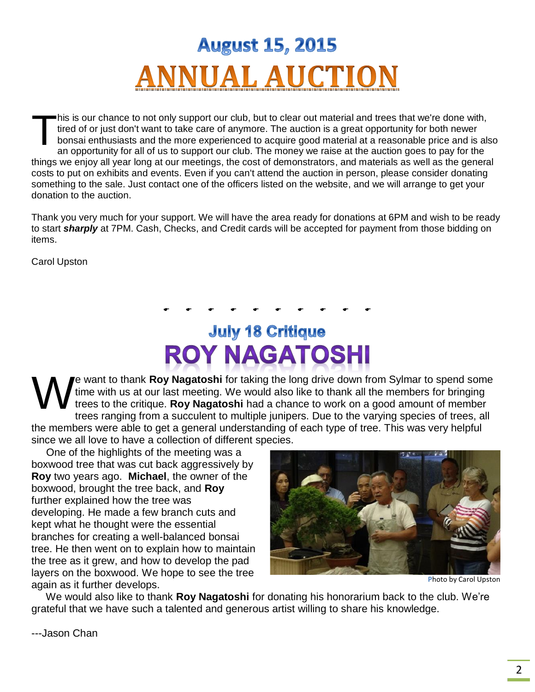

his is our chance to not only support our club, but to clear out material and trees that we're done with, tired of or just don't want to take care of anymore. The auction is a great opportunity for both newer bonsai enthusiasts and the more experienced to acquire good material at a reasonable price and is also an opportunity for all of us to support our club. The money we raise at the auction goes to pay for the things we enjoy all year long at our meetings, the cost of demonstrators, and materials as well as the general costs to put on exhibits and events. Even if you can't attend the auction in person, please consider donating something to the sale. Just contact one of the officers listed on the website, and we will arrange to get your donation to the auction. T

Thank you very much for your support. We will have the area ready for donations at 6PM and wish to be ready to start *sharply* at 7PM. Cash, Checks, and Credit cards will be accepted for payment from those bidding on items.

Carol Upston

# **July 18 Critique ROY NAGATOSHI**

*. . . . . . . . . .* 

e want to thank **Roy Nagatoshi** for taking the long drive down from Sylmar to spend some time with us at our last meeting. We would also like to thank all the members for bringing trees to the critique. **Roy Nagatoshi** had a chance to work on a good amount of member trees ranging from a succulent to multiple junipers. Due to the varying species of trees, all the members were able to get a general understanding of each type of tree. This was very helpful since we all love to have a collection of different species. W

 One of the highlights of the meeting was a boxwood tree that was cut back aggressively by **Roy** two years ago. **Michael**, the owner of the boxwood, brought the tree back, and **Roy** further explained how the tree was developing. He made a few branch cuts and kept what he thought were the essential branches for creating a well-balanced bonsai tree. He then went on to explain how to maintain the tree as it grew, and how to develop the pad layers on the boxwood. We hope to see the tree again as it further develops.



 **P**hoto by Carol Upston

 We would also like to thank **Roy Nagatoshi** for donating his honorarium back to the club. We're grateful that we have such a talented and generous artist willing to share his knowledge.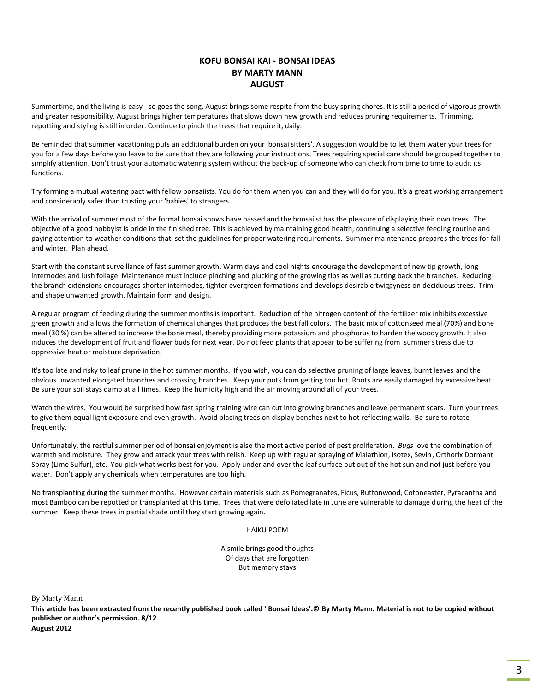#### **KOFU BONSAI KAI - BONSAI IDEAS BY MARTY MANN AUGUST**

Summertime, and the living is easy - so goes the song. August brings some respite from the busy spring chores. It is still a period of vigorous growth and greater responsibility. August brings higher temperatures that slows down new growth and reduces pruning requirements. Trimming, repotting and styling is still in order. Continue to pinch the trees that require it, daily.

Be reminded that summer vacationing puts an additional burden on your 'bonsai sitters'. A suggestion would be to let them water your trees for you for a few days before you leave to be sure that they are following your instructions. Trees requiring special care should be grouped together to simplify attention. Don't trust your automatic watering system without the back-up of someone who can check from time to time to audit its functions.

Try forming a mutual watering pact with fellow bonsaiists. You do for them when you can and they will do for you. It's a great working arrangement and considerably safer than trusting your 'babies' to strangers.

With the arrival of summer most of the formal bonsai shows have passed and the bonsaiist has the pleasure of displaying their own trees. The objective of a good hobbyist is pride in the finished tree. This is achieved by maintaining good health, continuing a selective feeding routine and paying attention to weather conditions that set the guidelines for proper watering requirements. Summer maintenance prepares the trees for fall and winter. Plan ahead.

Start with the constant surveillance of fast summer growth. Warm days and cool nights encourage the development of new tip growth, long internodes and lush foliage. Maintenance must include pinching and plucking of the growing tips as well as cutting back the branches. Reducing the branch extensions encourages shorter internodes, tighter evergreen formations and develops desirable twiggyness on deciduous trees. Trim and shape unwanted growth. Maintain form and design.

A regular program of feeding during the summer months is important. Reduction of the nitrogen content of the fertilizer mix inhibits excessive green growth and allows the formation of chemical changes that produces the best fall colors. The basic mix of cottonseed meal (70%) and bone meal (30 %) can be altered to increase the bone meal, thereby providing more potassium and phosphorus to harden the woody growth. It also induces the development of fruit and flower buds for next year. Do not feed plants that appear to be suffering from summer stress due to oppressive heat or moisture deprivation.

It's too late and risky to leaf prune in the hot summer months. If you wish, you can do selective pruning of large leaves, burnt leaves and the obvious unwanted elongated branches and crossing branches. Keep your pots from getting too hot. Roots are easily damaged by excessive heat. Be sure your soil stays damp at all times. Keep the humidity high and the air moving around all of your trees.

Watch the wires. You would be surprised how fast spring training wire can cut into growing branches and leave permanent scars. Turn your trees to give them equal light exposure and even growth. Avoid placing trees on display benches next to hot reflecting walls. Be sure to rotate frequently.

Unfortunately, the restful summer period of bonsai enjoyment is also the most active period of pest proliferation. *Bugs* love the combination of warmth and moisture. They grow and attack your trees with relish. Keep up with regular spraying of Malathion, Isotex, Sevin, Orthorix Dormant Spray (Lime Sulfur), etc. You pick what works best for you. Apply under and over the leaf surface but out of the hot sun and not just before you water. Don't apply any chemicals when temperatures are too high.

No transplanting during the summer months. However certain materials such as Pomegranates, Ficus, Buttonwood, Cotoneaster, Pyracantha and most Bamboo can be repotted or transplanted at this time. Trees that were defoliated late in June are vulnerable to damage during the heat of the summer. Keep these trees in partial shade until they start growing again.

HAIKU POEM

A smile brings good thoughts Of days that are forgotten But memory stays

By Marty Mann

**This article has been extracted from the recently published book called ' Bonsai Ideas'.© By Marty Mann. Material is not to be copied without publisher or author's permission. 8/12 August 2012**